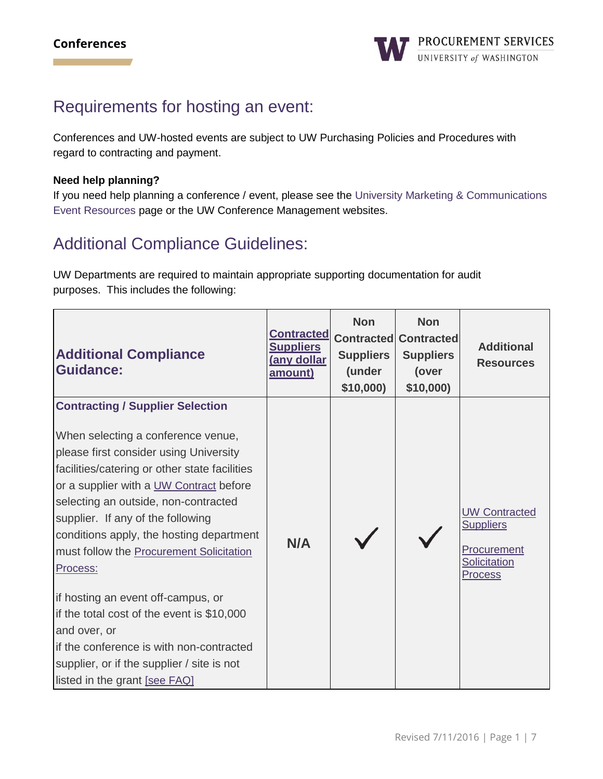## Requirements for hosting an event:

Conferences and UW-hosted events are subject to UW Purchasing Policies and Procedures with regard to contracting and payment.

#### **Need help planning?**

If you need help planning a conference / event, please see the [University Marketing & Communications](http://www.washington.edu/marketing/events/)  [Event Resources](http://www.washington.edu/marketing/events/) page or the [UW Conference Management](http://depts.washington.edu/uwconf/index.html) websites.

# Additional Compliance Guidelines:

UW Departments are required to maintain appropriate supporting documentation for audit purposes. This includes the following:

| <b>Additional Compliance</b><br><b>Guidance:</b>                                                                                                                                                                                                                                                                                                                                                                                                                                                                                                                                                                                    | <b>Contracted</b><br><b>Suppliers</b><br>(any dollar<br><u>amount)</u> | <b>Non</b><br><b>Contracted</b><br><b>Suppliers</b><br>(under<br>\$10,000 | <b>Non</b><br><b>Contracted</b><br><b>Suppliers</b><br>(over<br>\$10,000 | <b>Additional</b><br><b>Resources</b>                                                            |
|-------------------------------------------------------------------------------------------------------------------------------------------------------------------------------------------------------------------------------------------------------------------------------------------------------------------------------------------------------------------------------------------------------------------------------------------------------------------------------------------------------------------------------------------------------------------------------------------------------------------------------------|------------------------------------------------------------------------|---------------------------------------------------------------------------|--------------------------------------------------------------------------|--------------------------------------------------------------------------------------------------|
| <b>Contracting / Supplier Selection</b><br>When selecting a conference venue,<br>please first consider using University<br>facilities/catering or other state facilities<br>or a supplier with a UW Contract before<br>selecting an outside, non-contracted<br>supplier. If any of the following<br>conditions apply, the hosting department<br>must follow the Procurement Solicitation<br>Process:<br>if hosting an event off-campus, or<br>if the total cost of the event is \$10,000<br>and over, or<br>if the conference is with non-contracted<br>supplier, or if the supplier / site is not<br>listed in the grant [see FAQ] | N/A                                                                    |                                                                           |                                                                          | <b>UW Contracted</b><br><b>Suppliers</b><br>Procurement<br><b>Solicitation</b><br><b>Process</b> |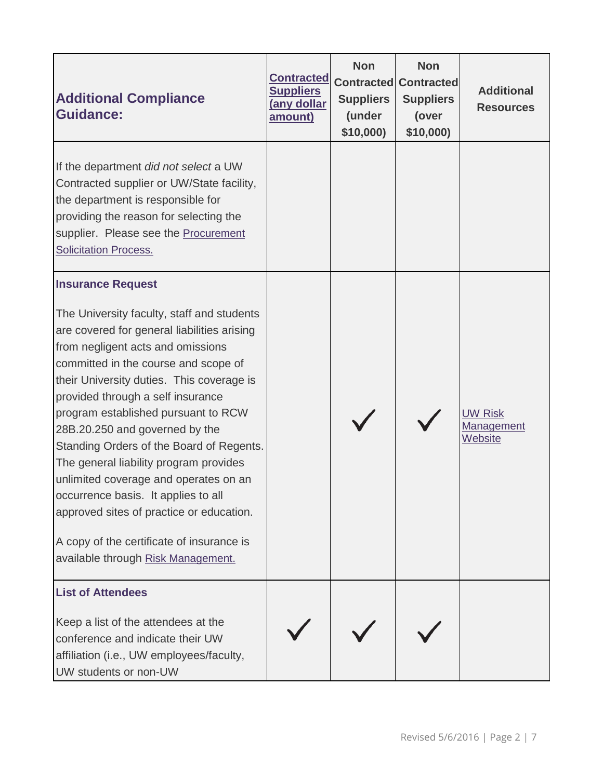| <b>Additional Compliance</b><br><b>Guidance:</b>                                                                                                                                                                                                                                                                                                                                                                                                                                                                                                                                                                                                                   | <b>Contracted</b><br><b>Suppliers</b><br><u>(any dollar</u><br>amount) | <b>Non</b><br><b>Contracted</b><br><b>Suppliers</b><br>(under<br>\$10,000) | <b>Non</b><br><b>Contracted</b><br><b>Suppliers</b><br>(over<br>\$10,000) | <b>Additional</b><br><b>Resources</b>                 |
|--------------------------------------------------------------------------------------------------------------------------------------------------------------------------------------------------------------------------------------------------------------------------------------------------------------------------------------------------------------------------------------------------------------------------------------------------------------------------------------------------------------------------------------------------------------------------------------------------------------------------------------------------------------------|------------------------------------------------------------------------|----------------------------------------------------------------------------|---------------------------------------------------------------------------|-------------------------------------------------------|
| If the department did not select a UW<br>Contracted supplier or UW/State facility,<br>the department is responsible for<br>providing the reason for selecting the<br>supplier. Please see the <b>Procurement</b><br><b>Solicitation Process.</b>                                                                                                                                                                                                                                                                                                                                                                                                                   |                                                                        |                                                                            |                                                                           |                                                       |
| <b>Insurance Request</b><br>The University faculty, staff and students<br>are covered for general liabilities arising<br>from negligent acts and omissions<br>committed in the course and scope of<br>their University duties. This coverage is<br>provided through a self insurance<br>program established pursuant to RCW<br>28B.20.250 and governed by the<br>Standing Orders of the Board of Regents.<br>The general liability program provides<br>unlimited coverage and operates on an<br>occurrence basis. It applies to all<br>approved sites of practice or education.<br>A copy of the certificate of insurance is<br>available through Risk Management. |                                                                        |                                                                            |                                                                           | <b>UW Risk</b><br><b>Management</b><br><b>Website</b> |
| <b>List of Attendees</b><br>Keep a list of the attendees at the<br>conference and indicate their UW<br>affiliation (i.e., UW employees/faculty,<br>UW students or non-UW                                                                                                                                                                                                                                                                                                                                                                                                                                                                                           |                                                                        |                                                                            |                                                                           |                                                       |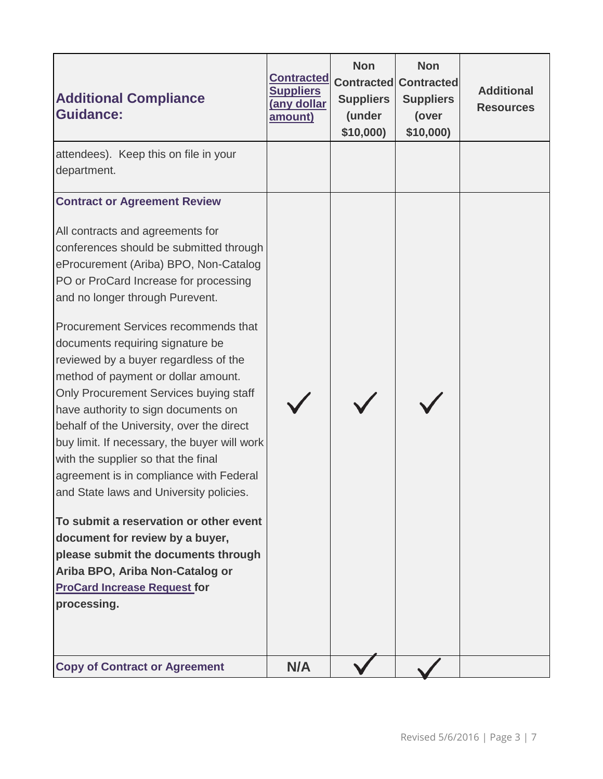| <b>Additional Compliance</b><br><b>Guidance:</b>                                                                                                                                                                                                                                                                                                                                                                                                                                                                                                                                  | <b>Contracted</b><br><b>Suppliers</b><br>(any dollar<br>amount) | <b>Non</b><br><b>Suppliers</b><br>(under<br>\$10,000 | <b>Non</b><br><b>Contracted Contracted</b><br><b>Suppliers</b><br>(over<br>\$10,000) | <b>Additional</b><br><b>Resources</b> |
|-----------------------------------------------------------------------------------------------------------------------------------------------------------------------------------------------------------------------------------------------------------------------------------------------------------------------------------------------------------------------------------------------------------------------------------------------------------------------------------------------------------------------------------------------------------------------------------|-----------------------------------------------------------------|------------------------------------------------------|--------------------------------------------------------------------------------------|---------------------------------------|
| attendees). Keep this on file in your<br>department.                                                                                                                                                                                                                                                                                                                                                                                                                                                                                                                              |                                                                 |                                                      |                                                                                      |                                       |
| <b>Contract or Agreement Review</b><br>All contracts and agreements for<br>conferences should be submitted through<br>eProcurement (Ariba) BPO, Non-Catalog<br>PO or ProCard Increase for processing<br>and no longer through Purevent.<br>Procurement Services recommends that<br>documents requiring signature be<br>reviewed by a buyer regardless of the<br>method of payment or dollar amount.<br>Only Procurement Services buying staff<br>have authority to sign documents on<br>behalf of the University, over the direct<br>buy limit. If necessary, the buyer will work |                                                                 |                                                      |                                                                                      |                                       |
| with the supplier so that the final<br>agreement is in compliance with Federal<br>and State laws and University policies.<br>To submit a reservation or other event<br>document for review by a buyer,<br>please submit the documents through<br>Ariba BPO, Ariba Non-Catalog or<br><b>ProCard Increase Request for</b><br>processing.                                                                                                                                                                                                                                            |                                                                 |                                                      |                                                                                      |                                       |
| <b>Copy of Contract or Agreement</b>                                                                                                                                                                                                                                                                                                                                                                                                                                                                                                                                              | N/A                                                             |                                                      |                                                                                      |                                       |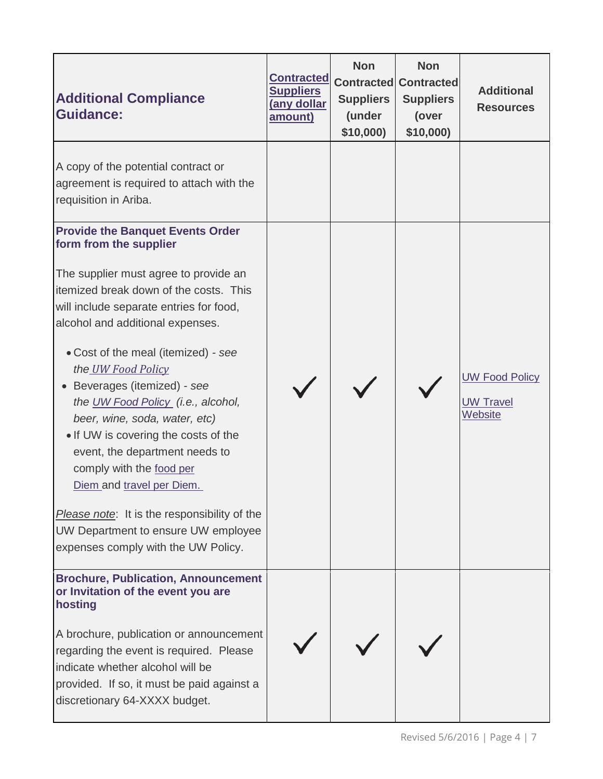| <b>Additional Compliance</b><br><b>Guidance:</b>                                                                                                                                                                                                                                                                                                                                                                                                                                                                                                                                                                                                                               | <b>Contracted</b><br><b>Suppliers</b><br>(any dollar<br>amount) | <b>Non</b><br><b>Suppliers</b><br>(under<br>\$10,000 | <b>Non</b><br><b>Contracted Contracted</b><br><b>Suppliers</b><br>(over<br>\$10,000) | <b>Additional</b><br><b>Resources</b>                |
|--------------------------------------------------------------------------------------------------------------------------------------------------------------------------------------------------------------------------------------------------------------------------------------------------------------------------------------------------------------------------------------------------------------------------------------------------------------------------------------------------------------------------------------------------------------------------------------------------------------------------------------------------------------------------------|-----------------------------------------------------------------|------------------------------------------------------|--------------------------------------------------------------------------------------|------------------------------------------------------|
| A copy of the potential contract or<br>agreement is required to attach with the<br>requisition in Ariba.                                                                                                                                                                                                                                                                                                                                                                                                                                                                                                                                                                       |                                                                 |                                                      |                                                                                      |                                                      |
| <b>Provide the Banquet Events Order</b><br>form from the supplier<br>The supplier must agree to provide an<br>itemized break down of the costs. This<br>will include separate entries for food,<br>alcohol and additional expenses.<br>• Cost of the meal (itemized) - see<br>the UW Food Policy<br>Beverages (itemized) - see<br>the UW Food Policy (i.e., alcohol,<br>beer, wine, soda, water, etc)<br>• If UW is covering the costs of the<br>event, the department needs to<br>comply with the food per<br>Diem and travel per Diem.<br><i>Please note</i> : It is the responsibility of the<br>UW Department to ensure UW employee<br>expenses comply with the UW Policy. |                                                                 |                                                      |                                                                                      | <b>UW Food Policy</b><br><b>UW Travel</b><br>Website |
| <b>Brochure, Publication, Announcement</b><br>or Invitation of the event you are<br>hosting<br>A brochure, publication or announcement<br>regarding the event is required. Please<br>indicate whether alcohol will be<br>provided. If so, it must be paid against a<br>discretionary 64-XXXX budget.                                                                                                                                                                                                                                                                                                                                                                           |                                                                 |                                                      |                                                                                      |                                                      |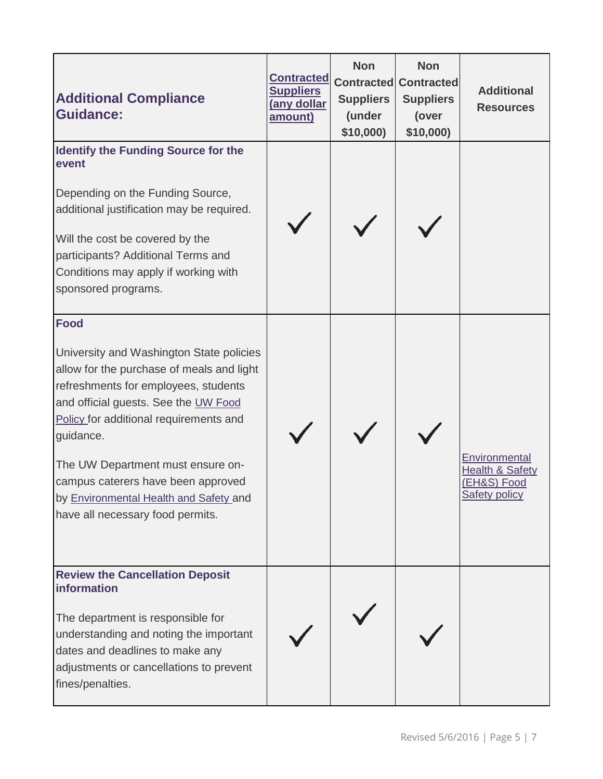| <b>Additional Compliance</b><br><b>Guidance:</b>                                                                                                                                                                                                                                                                                                                                                     | <b>Contracted</b><br><b>Suppliers</b><br>(any dollar<br>amount) | <b>Non</b><br><b>Contracted</b><br><b>Suppliers</b><br>(under<br>\$10,000) | <b>Non</b><br><b>Contracted</b><br><b>Suppliers</b><br>(over<br>\$10,000) | <b>Additional</b><br><b>Resources</b>                                              |
|------------------------------------------------------------------------------------------------------------------------------------------------------------------------------------------------------------------------------------------------------------------------------------------------------------------------------------------------------------------------------------------------------|-----------------------------------------------------------------|----------------------------------------------------------------------------|---------------------------------------------------------------------------|------------------------------------------------------------------------------------|
| <b>Identify the Funding Source for the</b><br>event<br>Depending on the Funding Source,<br>additional justification may be required.<br>Will the cost be covered by the<br>participants? Additional Terms and<br>Conditions may apply if working with<br>sponsored programs.                                                                                                                         |                                                                 |                                                                            |                                                                           |                                                                                    |
| <b>Food</b><br>University and Washington State policies<br>allow for the purchase of meals and light<br>refreshments for employees, students<br>and official guests. See the UW Food<br>Policy for additional requirements and<br>guidance.<br>The UW Department must ensure on-<br>campus caterers have been approved<br>by Environmental Health and Safety and<br>have all necessary food permits. |                                                                 |                                                                            |                                                                           | Environmental<br><b>Health &amp; Safety</b><br>(EH&S) Food<br><b>Safety policy</b> |
| <b>Review the Cancellation Deposit</b><br>information<br>The department is responsible for<br>understanding and noting the important<br>dates and deadlines to make any<br>adjustments or cancellations to prevent<br>fines/penalties.                                                                                                                                                               |                                                                 |                                                                            |                                                                           |                                                                                    |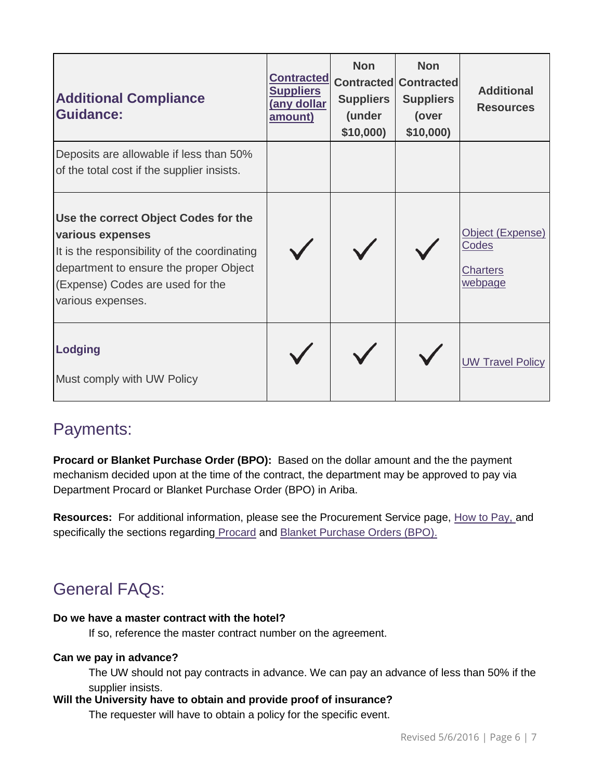| <b>Additional Compliance</b><br><b>Guidance:</b>                                                                                                                                                            | <b>Contracted</b><br><b>Suppliers</b><br><u>(any dollar</u><br><u>amount)</u> | <b>Non</b><br><b>Suppliers</b><br>(under<br>\$10,000 | <b>Non</b><br><b>Contracted Contracted</b><br><b>Suppliers</b><br>(over<br>\$10,000 | <b>Additional</b><br><b>Resources</b>                   |
|-------------------------------------------------------------------------------------------------------------------------------------------------------------------------------------------------------------|-------------------------------------------------------------------------------|------------------------------------------------------|-------------------------------------------------------------------------------------|---------------------------------------------------------|
| Deposits are allowable if less than 50%<br>of the total cost if the supplier insists.                                                                                                                       |                                                                               |                                                      |                                                                                     |                                                         |
| Use the correct Object Codes for the<br>various expenses<br>It is the responsibility of the coordinating<br>department to ensure the proper Object<br>(Expense) Codes are used for the<br>various expenses. |                                                                               |                                                      |                                                                                     | Object (Expense)<br>Codes<br><b>Charters</b><br>webpage |
| <b>Lodging</b><br>Must comply with UW Policy                                                                                                                                                                |                                                                               |                                                      |                                                                                     | <b>UW Travel Policy</b>                                 |

### Payments:

**Procard or Blanket Purchase Order (BPO):** Based on the dollar amount and the the payment mechanism decided upon at the time of the contract, the department may be approved to pay via Department Procard or Blanket Purchase Order (BPO) in Ariba.

**Resources:** For additional information, please see the Procurement Service page, [How to Pay,](https://finance.uw.edu/ps/how-to-pay) and specifically the sections regarding [Procard](https://finance.uw.edu/ps/how-to-buy/procurement-card) and [Blanket Purchase Orders \(BPO\).](https://finance.uw.edu/ps/how-to-buy/ariba/blanket-purchase-orders)

# General FAQs:

#### **Do we have a master contract with the hotel?**

If so, reference the master contract number on the agreement.

#### **Can we pay in advance?**

The UW should not pay contracts in advance. We can pay an advance of less than 50% if the supplier insists.

#### **Will the University have to obtain and provide proof of insurance?**

The requester will have to obtain a policy for the specific event.